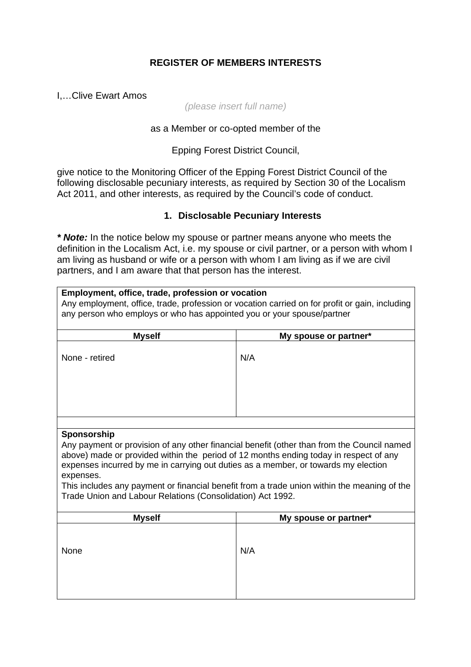# **REGISTER OF MEMBERS INTERESTS**

I,…Clive Ewart Amos

#### *(please insert full name)*

### as a Member or co-opted member of the

Epping Forest District Council,

give notice to the Monitoring Officer of the Epping Forest District Council of the following disclosable pecuniary interests, as required by Section 30 of the Localism Act 2011, and other interests, as required by the Council's code of conduct.

## **1. Disclosable Pecuniary Interests**

*\* Note:* In the notice below my spouse or partner means anyone who meets the definition in the Localism Act, i.e. my spouse or civil partner, or a person with whom I am living as husband or wife or a person with whom I am living as if we are civil partners, and I am aware that that person has the interest.

| Employment, office, trade, profession or vocation<br>Any employment, office, trade, profession or vocation carried on for profit or gain, including<br>any person who employs or who has appointed you or your spouse/partner |                                                                                            |  |
|-------------------------------------------------------------------------------------------------------------------------------------------------------------------------------------------------------------------------------|--------------------------------------------------------------------------------------------|--|
| <b>Myself</b>                                                                                                                                                                                                                 | My spouse or partner*                                                                      |  |
| None - retired                                                                                                                                                                                                                | N/A                                                                                        |  |
|                                                                                                                                                                                                                               |                                                                                            |  |
| Sponsorship                                                                                                                                                                                                                   |                                                                                            |  |
| above) made or provided within the period of 12 months ending today in respect of any<br>expenses incurred by me in carrying out duties as a member, or towards my election<br>expenses.                                      | Any payment or provision of any other financial benefit (other than from the Council named |  |
| This includes any payment or financial benefit from a trade union within the meaning of the<br>Trade Union and Labour Relations (Consolidation) Act 1992.                                                                     |                                                                                            |  |
| <b>Myself</b>                                                                                                                                                                                                                 | My spouse or partner*                                                                      |  |
| None                                                                                                                                                                                                                          | N/A                                                                                        |  |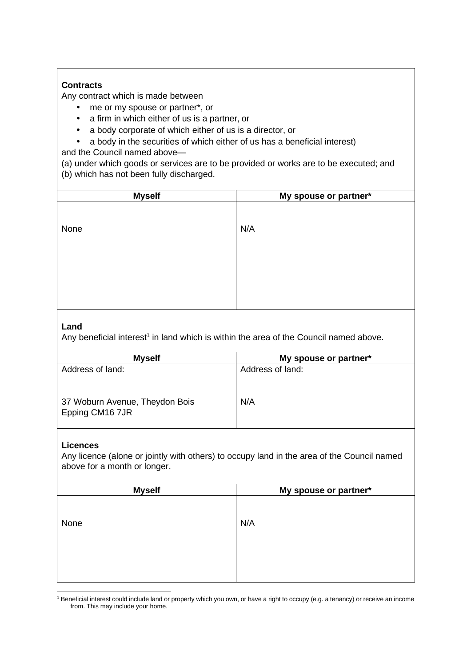## **Contracts**

Any contract which is made between

- me or my spouse or partner\*, or
- a firm in which either of us is a partner, or
- a body corporate of which either of us is a director, or
- a body in the securities of which either of us has a beneficial interest)

and the Council named above—

(a) under which goods or services are to be provided or works are to be executed; and (b) which has not been fully discharged.

| <b>Myself</b> | My spouse or partner* |
|---------------|-----------------------|
|               |                       |
| None          | N/A                   |
|               |                       |
|               |                       |
|               |                       |
|               |                       |
|               |                       |
|               |                       |

### **Land**

Any beneficial interest<sup>1</sup> in land which is within the area of the Council named above.

| <b>Myself</b>                                     | My spouse or partner* |
|---------------------------------------------------|-----------------------|
| Address of land:                                  | Address of land:      |
| 37 Woburn Avenue, Theydon Bois<br>Epping CM16 7JR | N/A                   |

#### **Licences**

Any licence (alone or jointly with others) to occupy land in the area of the Council named above for a month or longer.

| <b>Myself</b> | My spouse or partner* |
|---------------|-----------------------|
|               |                       |
|               |                       |
| None          | N/A                   |
|               |                       |
|               |                       |
|               |                       |
|               |                       |
|               |                       |

<sup>1</sup> Beneficial interest could include land or property which you own, or have a right to occupy (e.g. a tenancy) or receive an income from. This may include your home.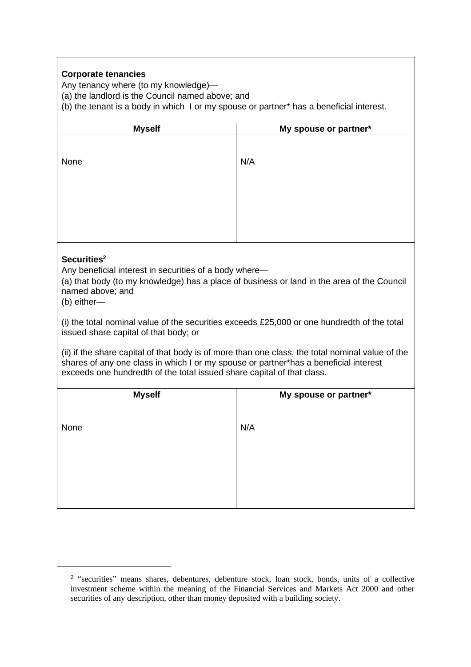### **Corporate tenancies**

Any tenancy where (to my knowledge)—

(a) the landlord is the Council named above; and

(b) the tenant is a body in which I or my spouse or partner\* has a beneficial interest.

| <b>Myself</b>                                                                                                                                                                                                                                                                                                                                                                                                                                                                                                                                                                                                                    | My spouse or partner* |  |
|----------------------------------------------------------------------------------------------------------------------------------------------------------------------------------------------------------------------------------------------------------------------------------------------------------------------------------------------------------------------------------------------------------------------------------------------------------------------------------------------------------------------------------------------------------------------------------------------------------------------------------|-----------------------|--|
| None                                                                                                                                                                                                                                                                                                                                                                                                                                                                                                                                                                                                                             | N/A                   |  |
| Securities <sup>2</sup><br>Any beneficial interest in securities of a body where-<br>(a) that body (to my knowledge) has a place of business or land in the area of the Council<br>named above; and<br>(b) either-<br>(i) the total nominal value of the securities exceeds £25,000 or one hundredth of the total<br>issued share capital of that body; or<br>(ii) if the share capital of that body is of more than one class, the total nominal value of the<br>shares of any one class in which I or my spouse or partner*has a beneficial interest<br>exceeds one hundredth of the total issued share capital of that class. |                       |  |
| <b>Myself</b>                                                                                                                                                                                                                                                                                                                                                                                                                                                                                                                                                                                                                    | My spouse or partner* |  |
| None                                                                                                                                                                                                                                                                                                                                                                                                                                                                                                                                                                                                                             | N/A                   |  |

<sup>&</sup>lt;sup>2</sup> "securities" means shares, debentures, debenture stock, loan stock, bonds, units of a collective investment scheme within the meaning of the Financial Services and Markets Act 2000 and other securities of any description, other than money deposited with a building society.